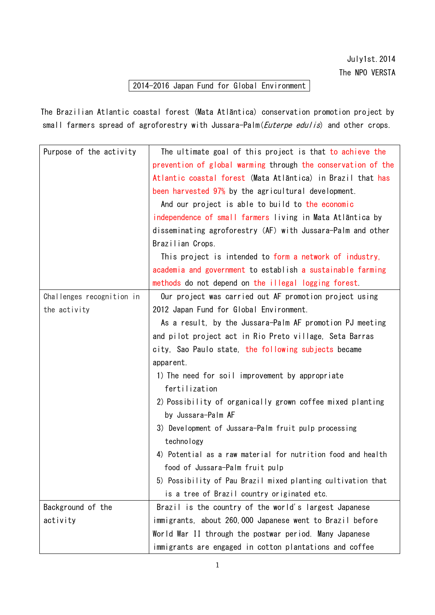## 2014-2016 Japan Fund for Global Environment

The Brazilian Atlantic coastal forest (Mata Atlãntica) conservation promotion project by small farmers spread of agroforestry with Jussara-Palm(*Euterpe edulis*) and other crops.

| Purpose of the activity   | The ultimate goal of this project is that to achieve the     |  |  |  |  |  |
|---------------------------|--------------------------------------------------------------|--|--|--|--|--|
|                           | prevention of global warming through the conservation of the |  |  |  |  |  |
|                           | Atlantic coastal forest (Mata Atlantica) in Brazil that has  |  |  |  |  |  |
|                           | been harvested 97% by the agricultural development.          |  |  |  |  |  |
|                           | And our project is able to build to the economic             |  |  |  |  |  |
|                           | independence of small farmers living in Mata Atlantica by    |  |  |  |  |  |
|                           | disseminating agroforestry (AF) with Jussara-Palm and other  |  |  |  |  |  |
|                           | Brazilian Crops.                                             |  |  |  |  |  |
|                           | This project is intended to form a network of industry,      |  |  |  |  |  |
|                           | academia and government to establish a sustainable farming   |  |  |  |  |  |
|                           | methods do not depend on the illegal logging forest.         |  |  |  |  |  |
| Challenges recognition in | Our project was carried out AF promotion project using       |  |  |  |  |  |
| the activity              | 2012 Japan Fund for Global Environment.                      |  |  |  |  |  |
|                           | As a result, by the Jussara-Palm AF promotion PJ meeting     |  |  |  |  |  |
|                           | and pilot project act in Rio Preto village, Seta Barras      |  |  |  |  |  |
|                           | city, Sao Paulo state, the following subjects became         |  |  |  |  |  |
|                           | apparent.<br>1) The need for soil improvement by appropriate |  |  |  |  |  |
|                           |                                                              |  |  |  |  |  |
|                           | fertilization                                                |  |  |  |  |  |
|                           | 2) Possibility of organically grown coffee mixed planting    |  |  |  |  |  |
|                           | by Jussara-Palm AF                                           |  |  |  |  |  |
|                           | 3) Development of Jussara-Palm fruit pulp processing         |  |  |  |  |  |
|                           | technology                                                   |  |  |  |  |  |
|                           | 4) Potential as a raw material for nutrition food and health |  |  |  |  |  |
|                           | food of Jussara-Palm fruit pulp                              |  |  |  |  |  |
|                           | 5) Possibility of Pau Brazil mixed planting cultivation that |  |  |  |  |  |
|                           | is a tree of Brazil country originated etc.                  |  |  |  |  |  |
| Background of the         | Brazil is the country of the world's largest Japanese        |  |  |  |  |  |
| activity                  | immigrants, about 260,000 Japanese went to Brazil before     |  |  |  |  |  |
|                           | World War II through the postwar period. Many Japanese       |  |  |  |  |  |
|                           | immigrants are engaged in cotton plantations and coffee      |  |  |  |  |  |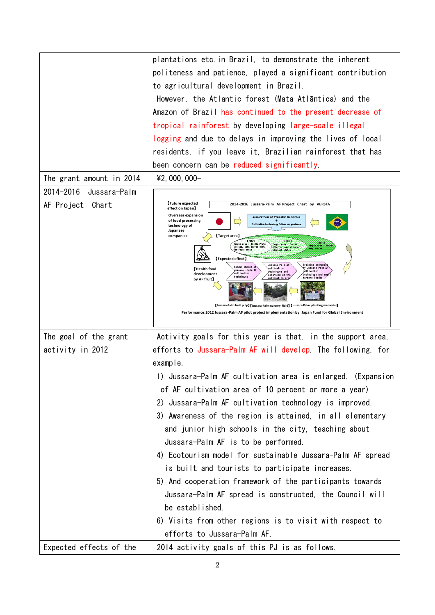|                          | plantations etc. in Brazil, to demonstrate the inherent                                                                                                                               |  |  |  |  |  |
|--------------------------|---------------------------------------------------------------------------------------------------------------------------------------------------------------------------------------|--|--|--|--|--|
|                          | politeness and patience, played a significant contribution                                                                                                                            |  |  |  |  |  |
|                          | to agricultural development in Brazil.                                                                                                                                                |  |  |  |  |  |
|                          |                                                                                                                                                                                       |  |  |  |  |  |
|                          | However, the Atlantic forest (Mata Atlãntica) and the                                                                                                                                 |  |  |  |  |  |
|                          | Amazon of Brazil has continued to the present decrease of                                                                                                                             |  |  |  |  |  |
|                          | tropical rainforest by developing large-scale illegal                                                                                                                                 |  |  |  |  |  |
|                          | logging and due to delays in improving the lives of local                                                                                                                             |  |  |  |  |  |
|                          | residents, if you leave it, Brazilian rainforest that has                                                                                                                             |  |  |  |  |  |
|                          | been concern can be reduced significantly.                                                                                                                                            |  |  |  |  |  |
| The grant amount in 2014 | $42,000,000-$                                                                                                                                                                         |  |  |  |  |  |
| 2014-2016 Jussara-Palm   |                                                                                                                                                                                       |  |  |  |  |  |
| AF Project Chart         | Future expected<br>2014-2016 Jussara-Palm AF Project Chart by VERSTA<br>effect on Japan                                                                                               |  |  |  |  |  |
|                          | Overseas expansion<br>Juseara-Palm AF Promotion Committee<br>of food processing                                                                                                       |  |  |  |  |  |
|                          | Cultivation technology follow-up guidano<br>technology of<br>Japanese                                                                                                                 |  |  |  |  |  |
|                          | [Target area]<br>companies<br>Target area : In Rio Preto<br>[2015]<br>[2010]<br>Tergot erse : Brezil<br>Atlantic constal forest<br>larget area - Brazil<br>village, Seta Barras olty, |  |  |  |  |  |
|                          | Paulo atete<br>diseast states<br><b>[Expected effect]</b>                                                                                                                             |  |  |  |  |  |
|                          | Jussara Palm Al<br><b>Training exchange</b><br>Establishment of<br>of Jussara-Palm J<br>oultivation<br>Health food<br>Jussara -Palm AF<br>gàitivation<br>esohn lauss and              |  |  |  |  |  |
|                          | oultivation<br>development<br>technology and a<br>expansion of the<br>teolm iques<br>oultivation are<br>farmers leader<br>by AF fruit】                                                |  |  |  |  |  |
|                          |                                                                                                                                                                                       |  |  |  |  |  |
|                          | [Jussara-Palm fruit pulp] [Jussara-Palm nursery field] [Jussara-Palm planting memorial]                                                                                               |  |  |  |  |  |
|                          | Performance: 2012 Jussara-Palm AF pilot project implementation by Japan Fund for Global Environment                                                                                   |  |  |  |  |  |
|                          |                                                                                                                                                                                       |  |  |  |  |  |
| The goal of the grant    | Activity goals for this year is that, in the support area,                                                                                                                            |  |  |  |  |  |
| activity in 2012         | efforts to Jussara-Palm AF will develop. The following, for                                                                                                                           |  |  |  |  |  |
|                          | example.                                                                                                                                                                              |  |  |  |  |  |
|                          | 1) Jussara-Palm AF cultivation area is enlarged. (Expansion                                                                                                                           |  |  |  |  |  |
|                          | of AF cultivation area of 10 percent or more a year)                                                                                                                                  |  |  |  |  |  |
|                          | Jussara-Palm AF cultivation technology is improved.<br>2)                                                                                                                             |  |  |  |  |  |
|                          | 3) Awareness of the region is attained, in all elementary                                                                                                                             |  |  |  |  |  |
|                          | and junior high schools in the city, teaching about                                                                                                                                   |  |  |  |  |  |
|                          | Jussara-Palm AF is to be performed.                                                                                                                                                   |  |  |  |  |  |
|                          | 4) Ecotourism model for sustainable Jussara-Palm AF spread                                                                                                                            |  |  |  |  |  |
|                          | is built and tourists to participate increases.                                                                                                                                       |  |  |  |  |  |
|                          | 5) And cooperation framework of the participants towards                                                                                                                              |  |  |  |  |  |
|                          | Jussara-Palm AF spread is constructed, the Council will                                                                                                                               |  |  |  |  |  |
|                          | be established.                                                                                                                                                                       |  |  |  |  |  |
|                          |                                                                                                                                                                                       |  |  |  |  |  |
|                          | 6) Visits from other regions is to visit with respect to                                                                                                                              |  |  |  |  |  |
|                          | efforts to Jussara-Palm AF.                                                                                                                                                           |  |  |  |  |  |
| Expected effects of the  | 2014 activity goals of this PJ is as follows.                                                                                                                                         |  |  |  |  |  |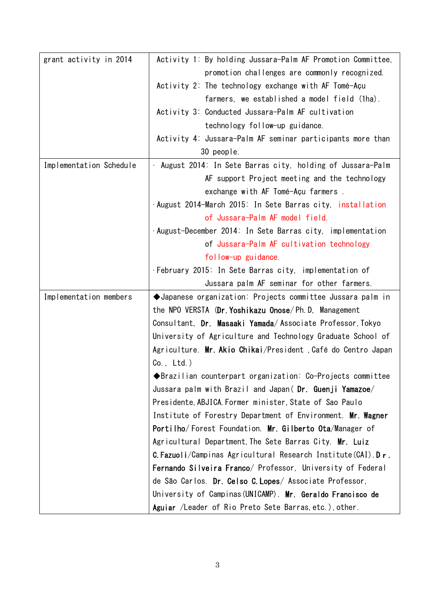| grant activity in 2014  | Activity 1: By holding Jussara-Palm AF Promotion Committee,               |  |  |
|-------------------------|---------------------------------------------------------------------------|--|--|
|                         | promotion challenges are commonly recognized.                             |  |  |
|                         | Activity 2: The technology exchange with AF Tomé-Açu                      |  |  |
|                         | farmers, we established a model field (1ha).                              |  |  |
|                         | Activity 3: Conducted Jussara-Palm AF cultivation                         |  |  |
|                         | technology follow-up guidance.                                            |  |  |
|                         | Activity 4: Jussara-Palm AF seminar participants more than                |  |  |
|                         | 30 people.                                                                |  |  |
| Implementation Schedule | . August 2014: In Sete Barras city, holding of Jussara-Palm               |  |  |
|                         | AF support Project meeting and the technology                             |  |  |
|                         | exchange with AF Tomé-Açu farmers.                                        |  |  |
|                         | ·August 2014-March 2015: In Sete Barras city, installation                |  |  |
|                         | of Jussara-Palm AF model field.                                           |  |  |
|                         | ·August-December 2014: In Sete Barras city, implementation                |  |  |
|                         | of Jussara-Palm AF cultivation technology                                 |  |  |
|                         | follow-up guidance.                                                       |  |  |
|                         | . February 2015: In Sete Barras city, implementation of                   |  |  |
|                         | Jussara palm AF seminar for other farmers.                                |  |  |
| Implementation members  | ◆Japanese organization: Projects committee Jussara palm in                |  |  |
|                         | the NPO VERSTA (Dr. Yoshikazu Onose/Ph.D, Management                      |  |  |
|                         | Consultant, Dr. Masaaki Yamada/Associate Professor, Tokyo                 |  |  |
|                         | University of Agriculture and Technology Graduate School of               |  |  |
|                         | Agriculture. Mr. Akio Chikai/President , Café do Centro Japan             |  |  |
|                         | $Co.$ , $Ltd.$ )                                                          |  |  |
|                         | $\blacklozenge$ Brazilian counterpart organization: Co-Projects committee |  |  |
|                         | Jussara palm with Brazil and Japan( Dr. Guenji Yamazoe/                   |  |  |
|                         | Presidente, ABJICA. Former minister, State of Sao Paulo                   |  |  |
|                         | Institute of Forestry Department of Environment. Mr. Wagner               |  |  |
|                         | Portilho/Forest Foundation. Mr. Gilberto Ota/Manager of                   |  |  |
|                         | Agricultural Department, The Sete Barras City. Mr. Luiz                   |  |  |
|                         | C. Fazuoli/Campinas Agricultural Research Institute (CAI). Dr.            |  |  |
|                         | Fernando Silveira Franco/ Professor, University of Federal                |  |  |
|                         | de São Carlos. Dr. Celso C. Lopes/ Associate Professor,                   |  |  |
|                         | University of Campinas (UNICAMP). Mr. Geraldo Francisco de                |  |  |
|                         | Aguiar /Leader of Rio Preto Sete Barras, etc.), other.                    |  |  |